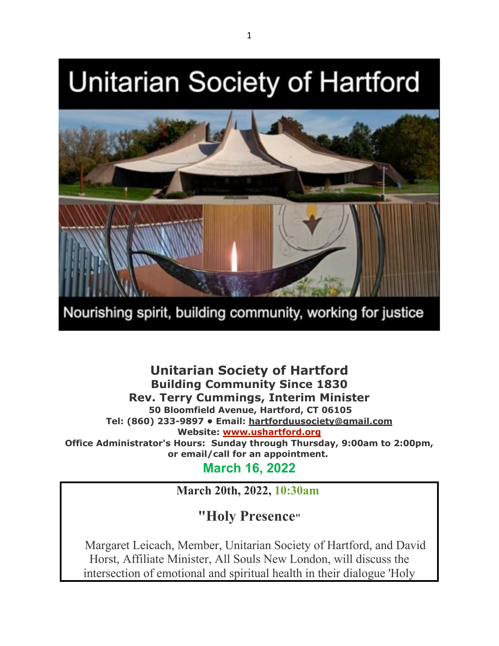# **Unitarian Society of Hartford**



Nourishing spirit, building community, working for justice

**Unitarian Society of Hartford Building Community Since 1830 Rev. Terry Cummings, Interim Minister 50 Bloomfield Avenue, Hartford, CT 06105 Tel: (860) 233-9897 • Email: hartforduusociety@gmail.com Website: www.ushartford.org Office Administrator's Hours: Sunday through Thursday, 9:00am to 2:00pm, or email/call for an appointment. March 16, 2022**

**March 20th, 2022, 10:30am**

**"Holy Presence"**

Margaret Leicach, Member, Unitarian Society of Hartford, and David Horst, Affiliate Minister, All Souls New London, will discuss the intersection of emotional and spiritual health in their dialogue 'Holy

1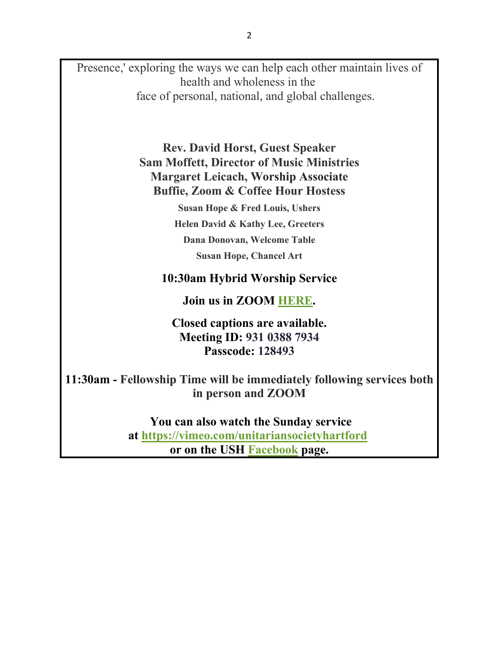Presence,' exploring the ways we can help each other maintain lives of health and wholeness in the face of personal, national, and global challenges.

> **Rev. David Horst, Guest Speaker Sam Moffett, Director of Music Ministries Margaret Leicach, Worship Associate Buffie, Zoom & Coffee Hour Hostess**

> > **Susan Hope & Fred Louis, Ushers Helen David & Kathy Lee, Greeters Dana Donovan, Welcome Table Susan Hope, Chancel Art**

# **10:30am Hybrid Worship Service**

**Join us in ZOOM HERE.**

**Closed captions are available. Meeting ID: 931 0388 7934 Passcode: 128493**

**11:30am - Fellowship Time will be immediately following services both in person and ZOOM**

> **You can also watch the Sunday service at https://vimeo.com/unitariansocietyhartford or on the USH Facebook page.**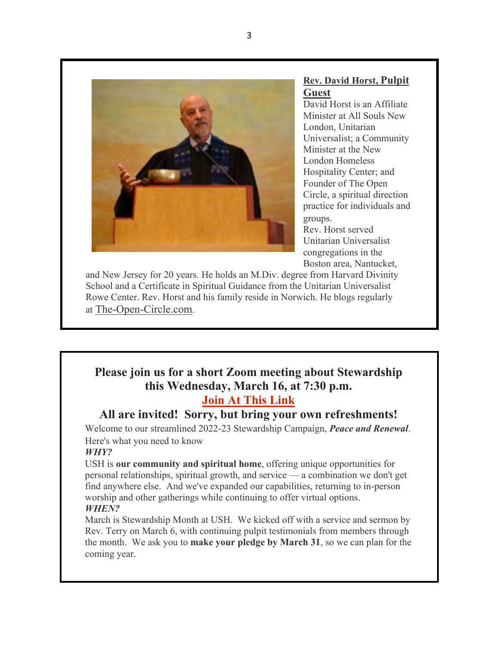

#### **Rev. David Horst, Pulpit Guest**

David Horst is an Affiliate Minister at All Souls New London, Unitarian Universalist; a Community Minister at the New London Homeless Hospitality Center; and Founder of The Open Circle, a spiritual direction practice for individuals and groups. Rev. Horst served Unitarian Universalist congregations in the Boston area, Nantucket,

and New Jersey for 20 years. He holds an M.Div. degree from Harvard Divinity School and a Certificate in Spiritual Guidance from the Unitarian Universalist Rowe Center. Rev. Horst and his family reside in Norwich. He blogs regularly at The-Open-Circle.com.

# **Please join us for a short Zoom meeting about Stewardship this Wednesday, March 16, at 7:30 p.m. Join At This Link**

# **All are invited! Sorry, but bring your own refreshments!**

Welcome to our streamlined 2022-23 Stewardship Campaign, *Peace and Renewal*. Here's what you need to know

#### *WHY?*

USH is **our community and spiritual home**, offering unique opportunities for personal relationships, spiritual growth, and service — a combination we don't get find anywhere else. And we've expanded our capabilities, returning to in-person worship and other gatherings while continuing to offer virtual options. *WHEN?*

March is Stewardship Month at USH. We kicked off with a service and sermon by Rev. Terry on March 6, with continuing pulpit testimonials from members through the month. We ask you to **make your pledge by March 31**, so we can plan for the coming year.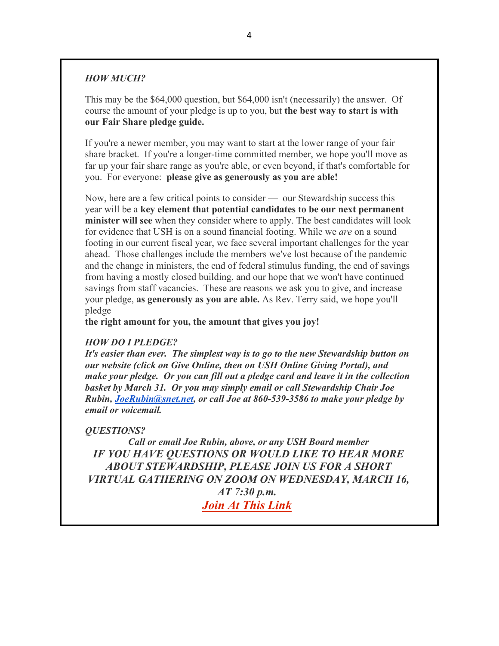#### *HOW MUCH?*

This may be the \$64,000 question, but \$64,000 isn't (necessarily) the answer. Of course the amount of your pledge is up to you, but **the best way to start is with our Fair Share pledge guide.**

If you're a newer member, you may want to start at the lower range of your fair share bracket. If you're a longer-time committed member, we hope you'll move as far up your fair share range as you're able, or even beyond, if that's comfortable for you. For everyone: **please give as generously as you are able!**

Now, here are a few critical points to consider — our Stewardship success this year will be a **key element that potential candidates to be our next permanent minister will see** when they consider where to apply. The best candidates will look for evidence that USH is on a sound financial footing. While we *are* on a sound footing in our current fiscal year, we face several important challenges for the year ahead. Those challenges include the members we've lost because of the pandemic and the change in ministers, the end of federal stimulus funding, the end of savings from having a mostly closed building, and our hope that we won't have continued savings from staff vacancies. These are reasons we ask you to give, and increase your pledge, **as generously as you are able.** As Rev. Terry said, we hope you'll pledge

**the right amount for you, the amount that gives you joy!**

#### *HOW DO I PLEDGE?*

*It's easier than ever. The simplest way is to go to the new Stewardship button on our website (click on Give Online, then on USH Online Giving Portal), and make your pledge. Or you can fill out a pledge card and leave it in the collection basket by March 31. Or you may simply email or call Stewardship Chair Joe Rubin, JoeRubin@snet.net, or call Joe at 860-539-3586 to make your pledge by email or voicemail.*

#### *QUESTIONS?*

*Call or email Joe Rubin, above, or any USH Board member IF YOU HAVE QUESTIONS OR WOULD LIKE TO HEAR MORE ABOUT STEWARDSHIP, PLEASE JOIN US FOR A SHORT VIRTUAL GATHERING ON ZOOM ON WEDNESDAY, MARCH 16, AT 7:30 p.m. Join At This Link*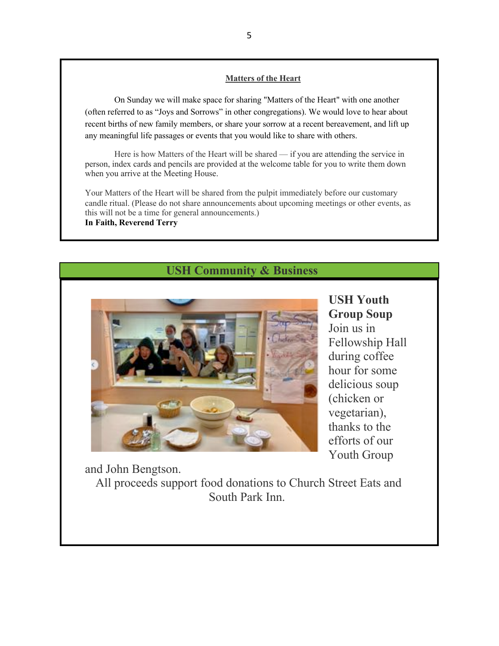#### **Matters of the Heart**

On Sunday we will make space for sharing "Matters of the Heart" with one another (often referred to as "Joys and Sorrows" in other congregations). We would love to hear about recent births of new family members, or share your sorrow at a recent bereavement, and lift up any meaningful life passages or events that you would like to share with others.

Here is how Matters of the Heart will be shared — if you are attending the service in person, index cards and pencils are provided at the welcome table for you to write them down when you arrive at the Meeting House.

Your Matters of the Heart will be shared from the pulpit immediately before our customary candle ritual. (Please do not share announcements about upcoming meetings or other events, as this will not be a time for general announcements.) **In Faith, Reverend Terry**

# **USH Community & Business**



**USH Youth Group Soup**  Join us in Fellowship Hall during coffee hour for some delicious soup (chicken or vegetarian), thanks to the efforts of our Youth Group

and John Bengtson.

All proceeds support food donations to Church Street Eats and South Park Inn.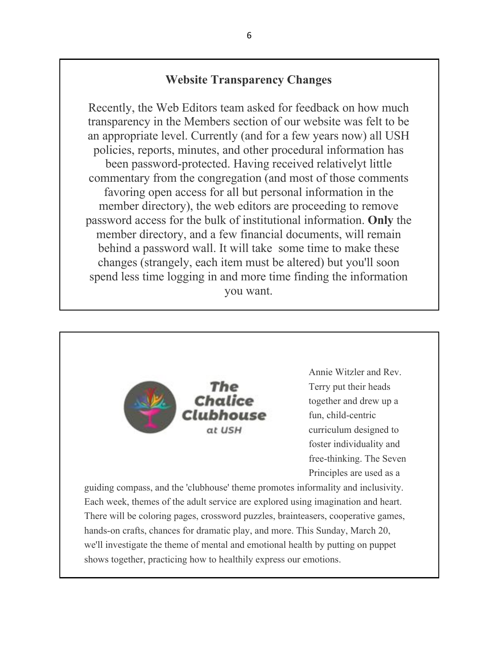# **Website Transparency Changes**

Recently, the Web Editors team asked for feedback on how much transparency in the Members section of our website was felt to be an appropriate level. Currently (and for a few years now) all USH policies, reports, minutes, and other procedural information has been password-protected. Having received relativelyt little commentary from the congregation (and most of those comments favoring open access for all but personal information in the member directory), the web editors are proceeding to remove password access for the bulk of institutional information. **Only** the member directory, and a few financial documents, will remain behind a password wall. It will take some time to make these changes (strangely, each item must be altered) but you'll soon spend less time logging in and more time finding the information you want.



Each week, themes of the adult service are explored using imagination and heart. There will be coloring pages, crossword puzzles, brainteasers, cooperative games, hands-on crafts, chances for dramatic play, and more. This Sunday, March 20, we'll investigate the theme of mental and emotional health by putting on puppet shows together, practicing how to healthily express our emotions.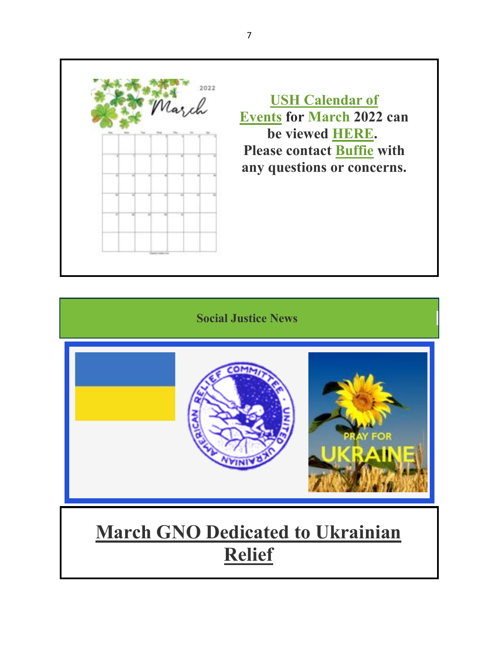

**USH Calendar of Events for March 2022 can be viewed HERE. Please contact Buffie with any questions or concerns.**

**Social Justice News**



# **March GNO Dedicated to Ukrainian Relief**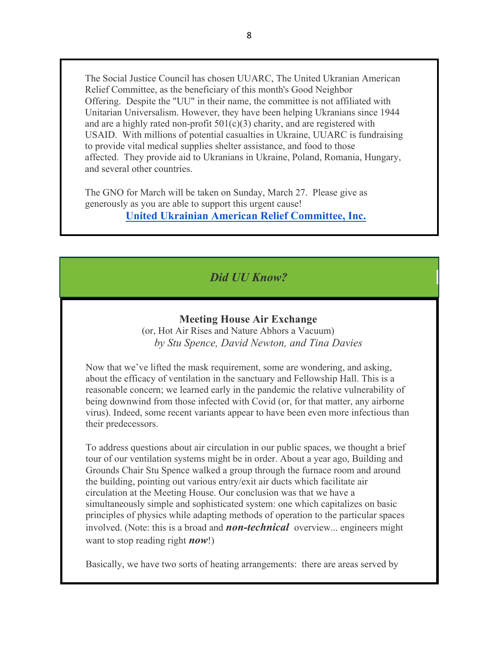The Social Justice Council has chosen UUARC, The United Ukranian American Relief Committee, as the beneficiary of this month's Good Neighbor Offering. Despite the "UU" in their name, the committee is not affiliated with Unitarian Universalism. However, they have been helping Ukranians since 1944 and are a highly rated non-profit  $501(c)(3)$  charity, and are registered with USAID. With millions of potential casualties in Ukraine, UUARC is fundraising to provide vital medical supplies shelter assistance, and food to those affected. They provide aid to Ukranians in Ukraine, Poland, Romania, Hungary, and several other countries.

The GNO for March will be taken on Sunday, March 27. Please give as generously as you are able to support this urgent cause!

**United Ukrainian American Relief Committee, Inc.**

# *Did UU Know?*

#### **Meeting House Air Exchange**

 (or, Hot Air Rises and Nature Abhors a Vacuum)  *by Stu Spence, David Newton, and Tina Davies*

Now that we've lifted the mask requirement, some are wondering, and asking, about the efficacy of ventilation in the sanctuary and Fellowship Hall. This is a reasonable concern; we learned early in the pandemic the relative vulnerability of being downwind from those infected with Covid (or, for that matter, any airborne virus). Indeed, some recent variants appear to have been even more infectious than their predecessors.

To address questions about air circulation in our public spaces, we thought a brief tour of our ventilation systems might be in order. About a year ago, Building and Grounds Chair Stu Spence walked a group through the furnace room and around the building, pointing out various entry/exit air ducts which facilitate air circulation at the Meeting House. Our conclusion was that we have a simultaneously simple and sophisticated system: one which capitalizes on basic principles of physics while adapting methods of operation to the particular spaces involved. (Note: this is a broad and *non-technical* overview... engineers might want to stop reading right *now*!)

Basically, we have two sorts of heating arrangements: there are areas served by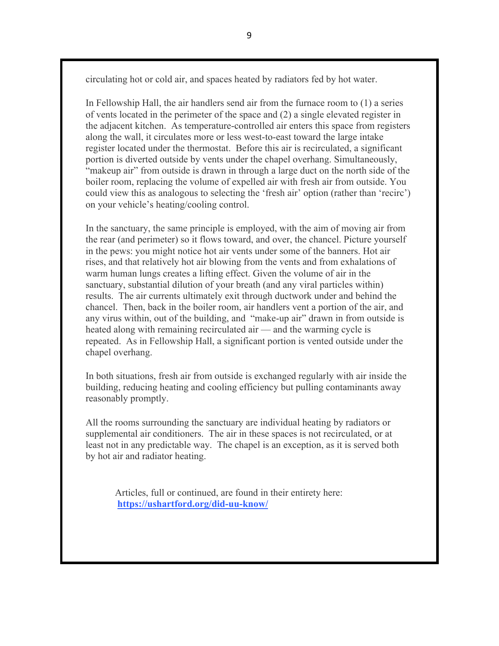circulating hot or cold air, and spaces heated by radiators fed by hot water.

In Fellowship Hall, the air handlers send air from the furnace room to (1) a series of vents located in the perimeter of the space and (2) a single elevated register in the adjacent kitchen. As temperature-controlled air enters this space from registers along the wall, it circulates more or less west-to-east toward the large intake register located under the thermostat. Before this air is recirculated, a significant portion is diverted outside by vents under the chapel overhang. Simultaneously, "makeup air" from outside is drawn in through a large duct on the north side of the boiler room, replacing the volume of expelled air with fresh air from outside. You could view this as analogous to selecting the 'fresh air' option (rather than 'recirc') on your vehicle's heating/cooling control.

In the sanctuary, the same principle is employed, with the aim of moving air from the rear (and perimeter) so it flows toward, and over, the chancel. Picture yourself in the pews: you might notice hot air vents under some of the banners. Hot air rises, and that relatively hot air blowing from the vents and from exhalations of warm human lungs creates a lifting effect. Given the volume of air in the sanctuary, substantial dilution of your breath (and any viral particles within) results. The air currents ultimately exit through ductwork under and behind the chancel. Then, back in the boiler room, air handlers vent a portion of the air, and any virus within, out of the building, and "make-up air" drawn in from outside is heated along with remaining recirculated air — and the warming cycle is repeated. As in Fellowship Hall, a significant portion is vented outside under the chapel overhang.

In both situations, fresh air from outside is exchanged regularly with air inside the building, reducing heating and cooling efficiency but pulling contaminants away reasonably promptly.

All the rooms surrounding the sanctuary are individual heating by radiators or supplemental air conditioners. The air in these spaces is not recirculated, or at least not in any predictable way. The chapel is an exception, as it is served both by hot air and radiator heating.

Articles, full or continued, are found in their entirety here: **https://ushartford.org/did-uu-know/**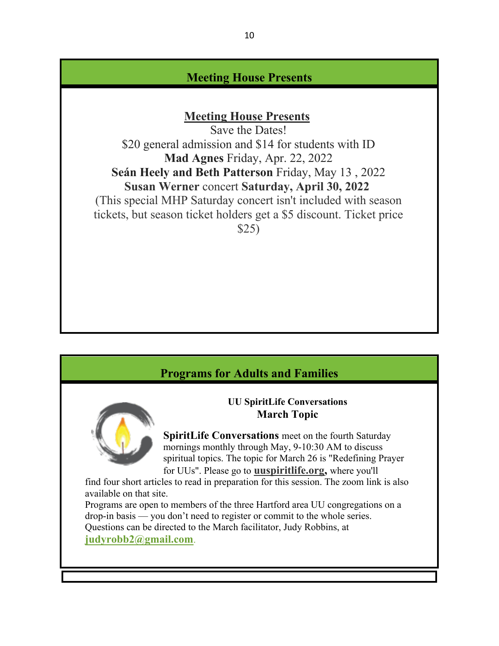# **Meeting House Presents**

# **Meeting House Presents**

Save the Dates! \$20 general admission and \$14 for students with ID **Mad Agnes** Friday, Apr. 22, 2022 **Seán Heely and Beth Patterson** Friday, May 13 , 2022 **Susan Werner** concert **Saturday, April 30, 2022** (This special MHP Saturday concert isn't included with season tickets, but season ticket holders get a \$5 discount. Ticket price \$25)

# **Programs for Adults and Families**

#### **UU SpiritLife Conversations March Topic**

**SpiritLife Conversations** meet on the fourth Saturday mornings monthly through May, 9-10:30 AM to discuss spiritual topics. The topic for March 26 is "Redefining Prayer for UUs". Please go to **uuspiritlife.org,** where you'll

find four short articles to read in preparation for this session. The zoom link is also available on that site.

Programs are open to members of the three Hartford area UU congregations on a drop-in basis — you don't need to register or commit to the whole series. Questions can be directed to the March facilitator, Judy Robbins, at

**judyrobb2@gmail.com**.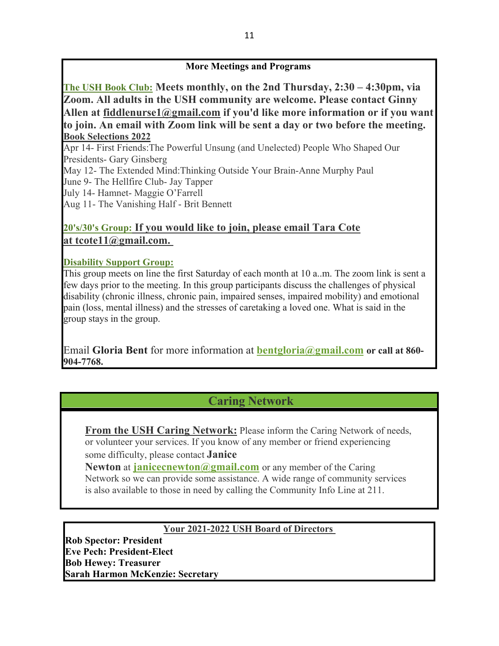#### **More Meetings and Programs**

**The USH Book Club: Meets monthly, on the 2nd Thursday, 2:30 – 4:30pm, via Zoom. All adults in the USH community are welcome. Please contact Ginny Allen at fiddlenurse1@gmail.com if you'd like more information or if you want to join. An email with Zoom link will be sent a day or two before the meeting. Book Selections 2022**

Apr 14- First Friends:The Powerful Unsung (and Unelected) People Who Shaped Our Presidents- Gary Ginsberg May 12- The Extended Mind:Thinking Outside Your Brain-Anne Murphy Paul June 9- The Hellfire Club- Jay Tapper July 14- Hamnet- Maggie O'Farrell Aug 11- The Vanishing Half - Brit Bennett

## **20's/30's Group: If you would like to join, please email Tara Cote at tcote11@gmail.com.**

#### **Disability Support Group:**

This group meets on line the first Saturday of each month at 10 a..m. The zoom link is sent a few days prior to the meeting. In this group participants discuss the challenges of physical disability (chronic illness, chronic pain, impaired senses, impaired mobility) and emotional pain (loss, mental illness) and the stresses of caretaking a loved one. What is said in the group stays in the group.

Email **Gloria Bent** for more information at **bentgloria@gmail.com or call at 860- 904-7768.**

# **Caring Network**

**From the USH Caring Network:** Please inform the Caring Network of needs, or volunteer your services. If you know of any member or friend experiencing some difficulty, please contact **Janice** 

**Newton** at **janicecnewton@gmail.com** or any member of the Caring Network so we can provide some assistance. A wide range of community services is also available to those in need by calling the Community Info Line at 211.

#### **Your 2021-2022 USH Board of Directors**

**Rob Spector: President Eve Pech: President-Elect Bob Hewey: Treasurer Sarah Harmon McKenzie: Secretary**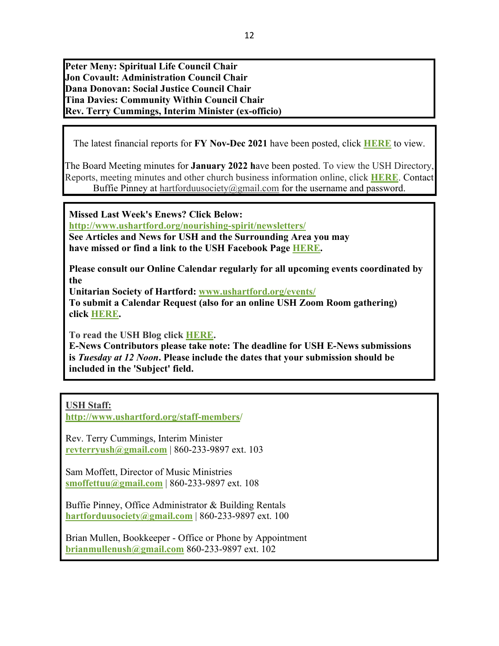**Peter Meny: Spiritual Life Council Chair Jon Covault: Administration Council Chair Dana Donovan: Social Justice Council Chair Tina Davies: Community Within Council Chair Rev. Terry Cummings, Interim Minister (ex-officio)**

The latest financial reports for **FY Nov-Dec 2021** have been posted, click **HERE** to view.

12

The Board Meeting minutes for **January 2022 h**ave been posted. To view the USH Directory, Reports, meeting minutes and other church business information online, click **HERE**. Contact Buffie Pinney at hartforduusociety@gmail.com for the username and password.

**Missed Last Week's Enews? Click Below:**

**http://www.ushartford.org/nourishing-spirit/newsletters/**

**See Articles and News for USH and the Surrounding Area you may have missed or find a link to the USH Facebook Page HERE.**

**Please consult our Online Calendar regularly for all upcoming events coordinated by the**

**Unitarian Society of Hartford: www.ushartford.org/events/**

**To submit a Calendar Request (also for an online USH Zoom Room gathering) click HERE.**

**To read the USH Blog click HERE.**

**E-News Contributors please take note: The deadline for USH E-News submissions is** *Tuesday at 12 Noon***. Please include the dates that your submission should be included in the 'Subject' field.**

**USH Staff:**

**http://www.ushartford.org/staff-members/**

Rev. Terry Cummings, Interim Minister **revterryush@gmail.com** | 860-233-9897 ext. 103

Sam Moffett, Director of Music Ministries **smoffettuu@gmail.com** | 860-233-9897 ext. 108

Buffie Pinney, Office Administrator & Building Rentals **hartforduusociety@gmail.com** | 860-233-9897 ext. 100

Brian Mullen, Bookkeeper - Office or Phone by Appointment **brianmullenush@gmail.com** 860-233-9897 ext. 102